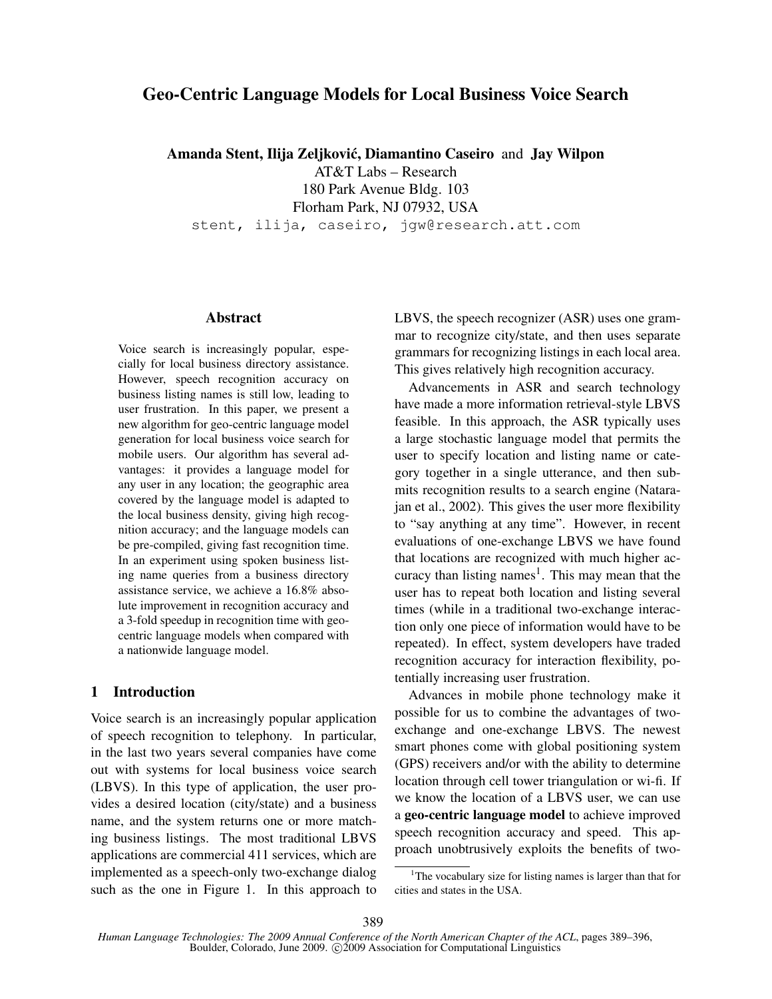# Geo-Centric Language Models for Local Business Voice Search

Amanda Stent, Ilija Zeljković, Diamantino Caseiro and Jay Wilpon

AT&T Labs – Research 180 Park Avenue Bldg. 103

Florham Park, NJ 07932, USA

stent, ilija, caseiro, jgw@research.att.com

#### Abstract

Voice search is increasingly popular, especially for local business directory assistance. However, speech recognition accuracy on business listing names is still low, leading to user frustration. In this paper, we present a new algorithm for geo-centric language model generation for local business voice search for mobile users. Our algorithm has several advantages: it provides a language model for any user in any location; the geographic area covered by the language model is adapted to the local business density, giving high recognition accuracy; and the language models can be pre-compiled, giving fast recognition time. In an experiment using spoken business listing name queries from a business directory assistance service, we achieve a 16.8% absolute improvement in recognition accuracy and a 3-fold speedup in recognition time with geocentric language models when compared with a nationwide language model.

# 1 Introduction

Voice search is an increasingly popular application of speech recognition to telephony. In particular, in the last two years several companies have come out with systems for local business voice search (LBVS). In this type of application, the user provides a desired location (city/state) and a business name, and the system returns one or more matching business listings. The most traditional LBVS applications are commercial 411 services, which are implemented as a speech-only two-exchange dialog such as the one in Figure 1. In this approach to LBVS, the speech recognizer (ASR) uses one grammar to recognize city/state, and then uses separate grammars for recognizing listings in each local area. This gives relatively high recognition accuracy.

Advancements in ASR and search technology have made a more information retrieval-style LBVS feasible. In this approach, the ASR typically uses a large stochastic language model that permits the user to specify location and listing name or category together in a single utterance, and then submits recognition results to a search engine (Natarajan et al., 2002). This gives the user more flexibility to "say anything at any time". However, in recent evaluations of one-exchange LBVS we have found that locations are recognized with much higher accuracy than listing names<sup>1</sup>. This may mean that the user has to repeat both location and listing several times (while in a traditional two-exchange interaction only one piece of information would have to be repeated). In effect, system developers have traded recognition accuracy for interaction flexibility, potentially increasing user frustration.

Advances in mobile phone technology make it possible for us to combine the advantages of twoexchange and one-exchange LBVS. The newest smart phones come with global positioning system (GPS) receivers and/or with the ability to determine location through cell tower triangulation or wi-fi. If we know the location of a LBVS user, we can use a geo-centric language model to achieve improved speech recognition accuracy and speed. This approach unobtrusively exploits the benefits of two-

<sup>&</sup>lt;sup>1</sup>The vocabulary size for listing names is larger than that for cities and states in the USA.

*Human Language Technologies: The 2009 Annual Conference of the North American Chapter of the ACL*, pages 389–396, Boulder, Colorado, June 2009. C<sub>2009</sub> Association for Computational Linguistics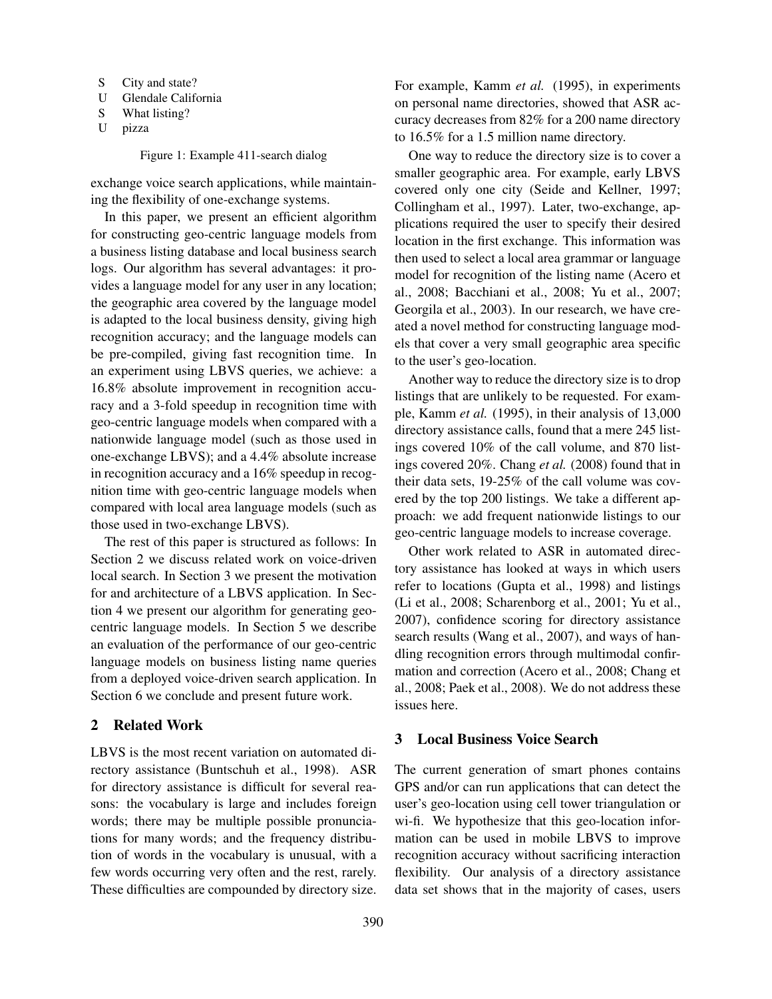- S City and state?
- U Glendale California
- S What listing?
- U pizza

Figure 1: Example 411-search dialog

exchange voice search applications, while maintaining the flexibility of one-exchange systems.

In this paper, we present an efficient algorithm for constructing geo-centric language models from a business listing database and local business search logs. Our algorithm has several advantages: it provides a language model for any user in any location; the geographic area covered by the language model is adapted to the local business density, giving high recognition accuracy; and the language models can be pre-compiled, giving fast recognition time. In an experiment using LBVS queries, we achieve: a 16.8% absolute improvement in recognition accuracy and a 3-fold speedup in recognition time with geo-centric language models when compared with a nationwide language model (such as those used in one-exchange LBVS); and a 4.4% absolute increase in recognition accuracy and a 16% speedup in recognition time with geo-centric language models when compared with local area language models (such as those used in two-exchange LBVS).

The rest of this paper is structured as follows: In Section 2 we discuss related work on voice-driven local search. In Section 3 we present the motivation for and architecture of a LBVS application. In Section 4 we present our algorithm for generating geocentric language models. In Section 5 we describe an evaluation of the performance of our geo-centric language models on business listing name queries from a deployed voice-driven search application. In Section 6 we conclude and present future work.

# 2 Related Work

LBVS is the most recent variation on automated directory assistance (Buntschuh et al., 1998). ASR for directory assistance is difficult for several reasons: the vocabulary is large and includes foreign words; there may be multiple possible pronunciations for many words; and the frequency distribution of words in the vocabulary is unusual, with a few words occurring very often and the rest, rarely. These difficulties are compounded by directory size. For example, Kamm *et al.* (1995), in experiments on personal name directories, showed that ASR accuracy decreases from 82% for a 200 name directory to 16.5% for a 1.5 million name directory.

One way to reduce the directory size is to cover a smaller geographic area. For example, early LBVS covered only one city (Seide and Kellner, 1997; Collingham et al., 1997). Later, two-exchange, applications required the user to specify their desired location in the first exchange. This information was then used to select a local area grammar or language model for recognition of the listing name (Acero et al., 2008; Bacchiani et al., 2008; Yu et al., 2007; Georgila et al., 2003). In our research, we have created a novel method for constructing language models that cover a very small geographic area specific to the user's geo-location.

Another way to reduce the directory size is to drop listings that are unlikely to be requested. For example, Kamm *et al.* (1995), in their analysis of 13,000 directory assistance calls, found that a mere 245 listings covered 10% of the call volume, and 870 listings covered 20%. Chang *et al.* (2008) found that in their data sets, 19-25% of the call volume was covered by the top 200 listings. We take a different approach: we add frequent nationwide listings to our geo-centric language models to increase coverage.

Other work related to ASR in automated directory assistance has looked at ways in which users refer to locations (Gupta et al., 1998) and listings (Li et al., 2008; Scharenborg et al., 2001; Yu et al., 2007), confidence scoring for directory assistance search results (Wang et al., 2007), and ways of handling recognition errors through multimodal confirmation and correction (Acero et al., 2008; Chang et al., 2008; Paek et al., 2008). We do not address these issues here.

#### 3 Local Business Voice Search

The current generation of smart phones contains GPS and/or can run applications that can detect the user's geo-location using cell tower triangulation or wi-fi. We hypothesize that this geo-location information can be used in mobile LBVS to improve recognition accuracy without sacrificing interaction flexibility. Our analysis of a directory assistance data set shows that in the majority of cases, users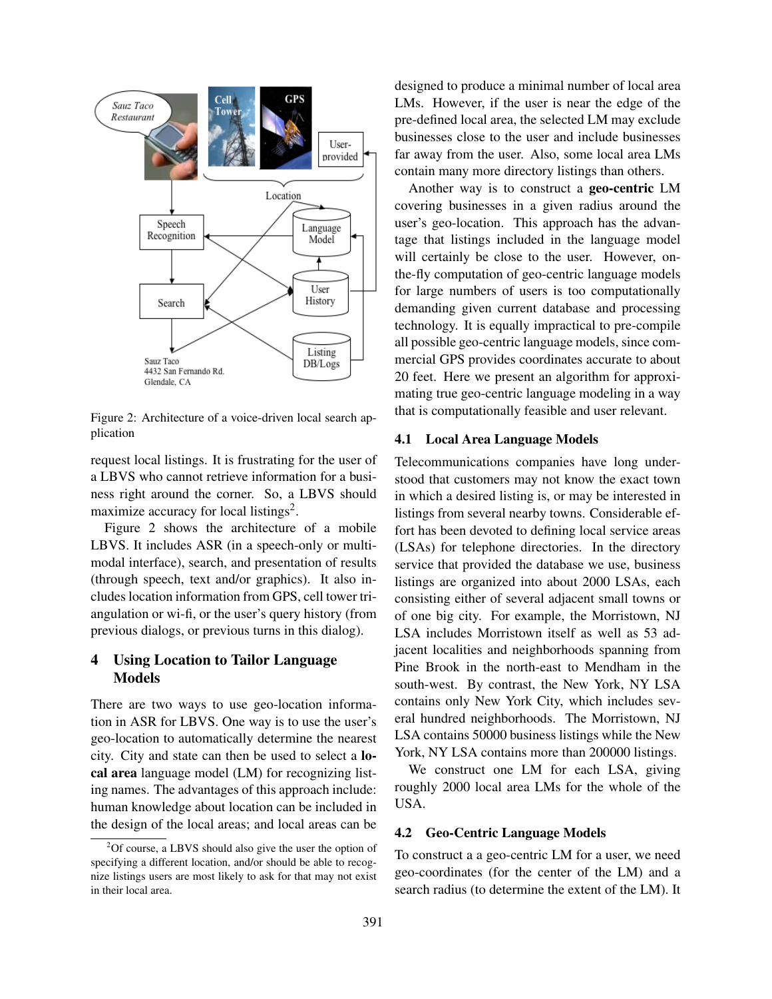

Figure 2: Architecture of a voice-driven local search application

request local listings. It is frustrating for the user of a LBVS who cannot retrieve information for a business right around the corner. So, a LBVS should maximize accuracy for local listings<sup>2</sup>.

Figure 2 shows the architecture of a mobile LBVS. It includes ASR (in a speech-only or multimodal interface), search, and presentation of results (through speech, text and/or graphics). It also includes location information from GPS, cell tower triangulation or wi-fi, or the user's query history (from previous dialogs, or previous turns in this dialog).

# 4 Using Location to Tailor Language Models

There are two ways to use geo-location information in ASR for LBVS. One way is to use the user's geo-location to automatically determine the nearest city. City and state can then be used to select a local area language model (LM) for recognizing listing names. The advantages of this approach include: human knowledge about location can be included in the design of the local areas; and local areas can be designed to produce a minimal number of local area LMs. However, if the user is near the edge of the pre-defined local area, the selected LM may exclude businesses close to the user and include businesses far away from the user. Also, some local area LMs contain many more directory listings than others.

Another way is to construct a geo-centric LM covering businesses in a given radius around the user's geo-location. This approach has the advantage that listings included in the language model will certainly be close to the user. However, onthe-fly computation of geo-centric language models for large numbers of users is too computationally demanding given current database and processing technology. It is equally impractical to pre-compile all possible geo-centric language models, since commercial GPS provides coordinates accurate to about 20 feet. Here we present an algorithm for approximating true geo-centric language modeling in a way that is computationally feasible and user relevant.

#### 4.1 Local Area Language Models

Telecommunications companies have long understood that customers may not know the exact town in which a desired listing is, or may be interested in listings from several nearby towns. Considerable effort has been devoted to defining local service areas (LSAs) for telephone directories. In the directory service that provided the database we use, business listings are organized into about 2000 LSAs, each consisting either of several adjacent small towns or of one big city. For example, the Morristown, NJ LSA includes Morristown itself as well as 53 adjacent localities and neighborhoods spanning from Pine Brook in the north-east to Mendham in the south-west. By contrast, the New York, NY LSA contains only New York City, which includes several hundred neighborhoods. The Morristown, NJ LSA contains 50000 business listings while the New York, NY LSA contains more than 200000 listings.

We construct one LM for each LSA, giving roughly 2000 local area LMs for the whole of the USA.

# 4.2 Geo-Centric Language Models

To construct a a geo-centric LM for a user, we need geo-coordinates (for the center of the LM) and a search radius (to determine the extent of the LM). It

 ${}^{2}$ Of course, a LBVS should also give the user the option of specifying a different location, and/or should be able to recognize listings users are most likely to ask for that may not exist in their local area.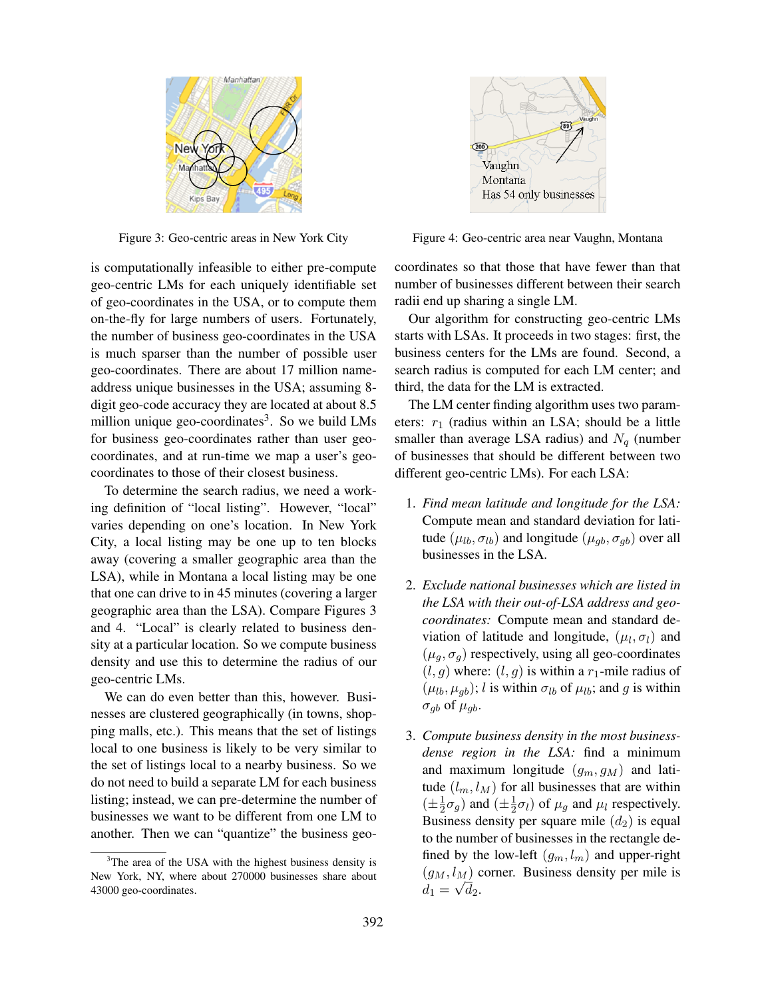

Figure 3: Geo-centric areas in New York City

is computationally infeasible to either pre-compute geo-centric LMs for each uniquely identifiable set of geo-coordinates in the USA, or to compute them on-the-fly for large numbers of users. Fortunately, the number of business geo-coordinates in the USA is much sparser than the number of possible user geo-coordinates. There are about 17 million nameaddress unique businesses in the USA; assuming 8 digit geo-code accuracy they are located at about 8.5 million unique geo-coordinates<sup>3</sup>. So we build LMs for business geo-coordinates rather than user geocoordinates, and at run-time we map a user's geocoordinates to those of their closest business.

To determine the search radius, we need a working definition of "local listing". However, "local" varies depending on one's location. In New York City, a local listing may be one up to ten blocks away (covering a smaller geographic area than the LSA), while in Montana a local listing may be one that one can drive to in 45 minutes (covering a larger geographic area than the LSA). Compare Figures 3 and 4. "Local" is clearly related to business density at a particular location. So we compute business density and use this to determine the radius of our geo-centric LMs.

We can do even better than this, however. Businesses are clustered geographically (in towns, shopping malls, etc.). This means that the set of listings local to one business is likely to be very similar to the set of listings local to a nearby business. So we do not need to build a separate LM for each business listing; instead, we can pre-determine the number of businesses we want to be different from one LM to another. Then we can "quantize" the business geo-



Figure 4: Geo-centric area near Vaughn, Montana

coordinates so that those that have fewer than that number of businesses different between their search radii end up sharing a single LM.

Our algorithm for constructing geo-centric LMs starts with LSAs. It proceeds in two stages: first, the business centers for the LMs are found. Second, a search radius is computed for each LM center; and third, the data for the LM is extracted.

The LM center finding algorithm uses two parameters:  $r_1$  (radius within an LSA; should be a little smaller than average LSA radius) and  $N_q$  (number of businesses that should be different between two different geo-centric LMs). For each LSA:

- 1. *Find mean latitude and longitude for the LSA:* Compute mean and standard deviation for latitude  $(\mu_{lb}, \sigma_{lb})$  and longitude  $(\mu_{gb}, \sigma_{gb})$  over all businesses in the LSA.
- 2. *Exclude national businesses which are listed in the LSA with their out-of-LSA address and geocoordinates:* Compute mean and standard deviation of latitude and longitude,  $(\mu_l, \sigma_l)$  and  $(\mu_a, \sigma_a)$  respectively, using all geo-coordinates  $(l, g)$  where:  $(l, g)$  is within a  $r_1$ -mile radius of  $(\mu_{lb}, \mu_{qb})$ ; l is within  $\sigma_{lb}$  of  $\mu_{lb}$ ; and g is within  $\sigma_{qb}$  of  $\mu_{qb}$ .
- 3. *Compute business density in the most businessdense region in the LSA:* find a minimum and maximum longitude  $(g_m, g_M)$  and latitude  $(l_m, l_M)$  for all businesses that are within  $(\pm \frac{1}{2})$  $\frac{1}{2}\sigma_g$ ) and  $(\pm \frac{1}{2})$  $(\frac{1}{2}\sigma_l)$  of  $\mu_g$  and  $\mu_l$  respectively. Business density per square mile  $(d_2)$  is equal to the number of businesses in the rectangle defined by the low-left  $(g_m, l_m)$  and upper-right  $(g_M, l_M)$  corner. Business density per mile is  $d_1 = \sqrt{d_2}.$

<sup>&</sup>lt;sup>3</sup>The area of the USA with the highest business density is New York, NY, where about 270000 businesses share about 43000 geo-coordinates.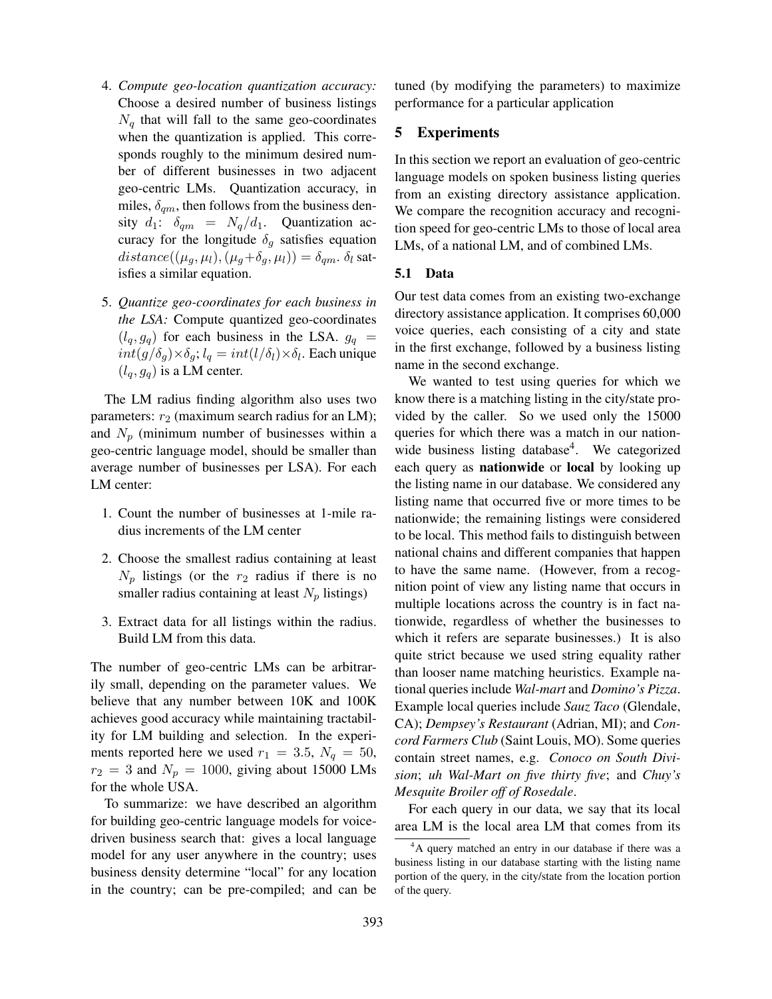- 4. *Compute geo-location quantization accuracy:* Choose a desired number of business listings  $N_q$  that will fall to the same geo-coordinates when the quantization is applied. This corresponds roughly to the minimum desired number of different businesses in two adjacent geo-centric LMs. Quantization accuracy, in miles,  $\delta_{qm}$ , then follows from the business density  $d_1$ :  $\delta_{qm} = N_q/d_1$ . Quantization accuracy for the longitude  $\delta_q$  satisfies equation  $distance((\mu_q, \mu_l),(\mu_q+\delta_q, \mu_l)) = \delta_{qm}$ .  $\delta_l$  satisfies a similar equation.
- 5. *Quantize geo-coordinates for each business in the LSA:* Compute quantized geo-coordinates  $(l_q, g_q)$  for each business in the LSA.  $g_q$  =  $int(g/\delta_g) \times \delta_g$ ;  $l_q = int(l/\delta_l) \times \delta_l$ . Each unique  $(l_q, g_q)$  is a LM center.

The LM radius finding algorithm also uses two parameters:  $r_2$  (maximum search radius for an LM); and  $N_p$  (minimum number of businesses within a geo-centric language model, should be smaller than average number of businesses per LSA). For each LM center:

- 1. Count the number of businesses at 1-mile radius increments of the LM center
- 2. Choose the smallest radius containing at least  $N_p$  listings (or the  $r_2$  radius if there is no smaller radius containing at least  $N_p$  listings)
- 3. Extract data for all listings within the radius. Build LM from this data.

The number of geo-centric LMs can be arbitrarily small, depending on the parameter values. We believe that any number between 10K and 100K achieves good accuracy while maintaining tractability for LM building and selection. In the experiments reported here we used  $r_1 = 3.5$ ,  $N_q = 50$ ,  $r_2 = 3$  and  $N_p = 1000$ , giving about 15000 LMs for the whole USA.

To summarize: we have described an algorithm for building geo-centric language models for voicedriven business search that: gives a local language model for any user anywhere in the country; uses business density determine "local" for any location in the country; can be pre-compiled; and can be tuned (by modifying the parameters) to maximize performance for a particular application

# 5 Experiments

In this section we report an evaluation of geo-centric language models on spoken business listing queries from an existing directory assistance application. We compare the recognition accuracy and recognition speed for geo-centric LMs to those of local area LMs, of a national LM, and of combined LMs.

# 5.1 Data

Our test data comes from an existing two-exchange directory assistance application. It comprises 60,000 voice queries, each consisting of a city and state in the first exchange, followed by a business listing name in the second exchange.

We wanted to test using queries for which we know there is a matching listing in the city/state provided by the caller. So we used only the 15000 queries for which there was a match in our nationwide business listing database<sup>4</sup>. We categorized each query as nationwide or local by looking up the listing name in our database. We considered any listing name that occurred five or more times to be nationwide; the remaining listings were considered to be local. This method fails to distinguish between national chains and different companies that happen to have the same name. (However, from a recognition point of view any listing name that occurs in multiple locations across the country is in fact nationwide, regardless of whether the businesses to which it refers are separate businesses.) It is also quite strict because we used string equality rather than looser name matching heuristics. Example national queries include *Wal-mart* and *Domino's Pizza*. Example local queries include *Sauz Taco* (Glendale, CA); *Dempsey's Restaurant* (Adrian, MI); and *Concord Farmers Club* (Saint Louis, MO). Some queries contain street names, e.g. *Conoco on South Division*; *uh Wal-Mart on five thirty five*; and *Chuy's Mesquite Broiler off of Rosedale*.

For each query in our data, we say that its local area LM is the local area LM that comes from its

<sup>&</sup>lt;sup>4</sup>A query matched an entry in our database if there was a business listing in our database starting with the listing name portion of the query, in the city/state from the location portion of the query.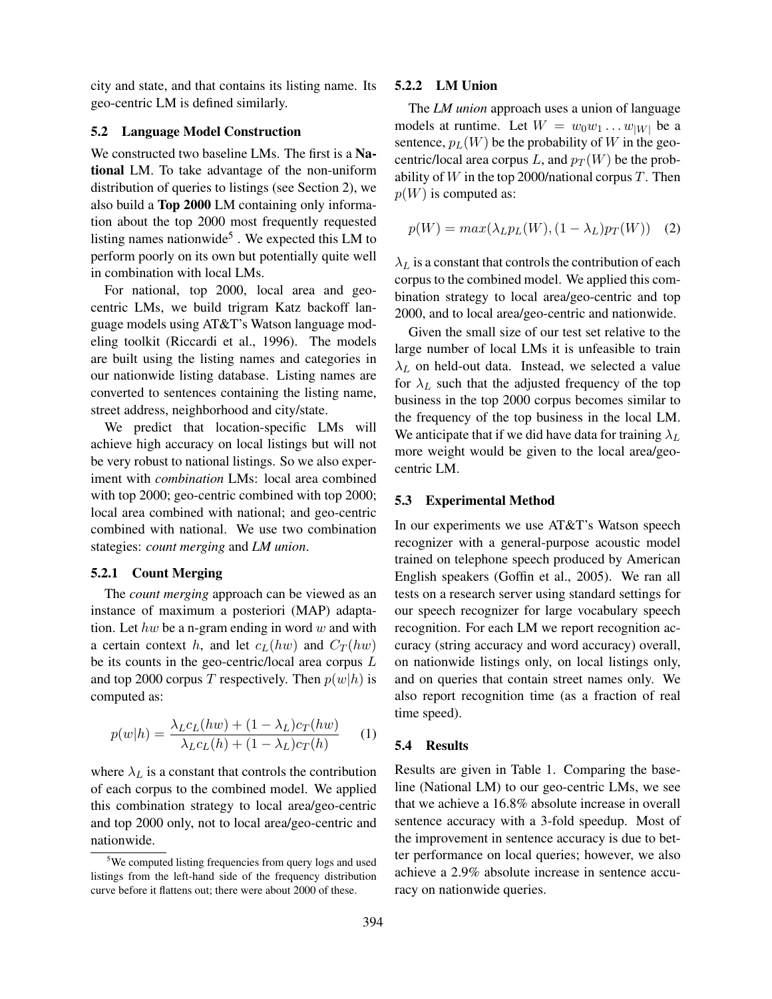city and state, and that contains its listing name. Its geo-centric LM is defined similarly.

# 5.2 Language Model Construction

We constructed two baseline LMs. The first is a National LM. To take advantage of the non-uniform distribution of queries to listings (see Section 2), we also build a Top 2000 LM containing only information about the top 2000 most frequently requested listing names nationwide<sup>5</sup>. We expected this LM to perform poorly on its own but potentially quite well in combination with local LMs.

For national, top 2000, local area and geocentric LMs, we build trigram Katz backoff language models using AT&T's Watson language modeling toolkit (Riccardi et al., 1996). The models are built using the listing names and categories in our nationwide listing database. Listing names are converted to sentences containing the listing name, street address, neighborhood and city/state.

We predict that location-specific LMs will achieve high accuracy on local listings but will not be very robust to national listings. So we also experiment with *combination* LMs: local area combined with top 2000; geo-centric combined with top 2000; local area combined with national; and geo-centric combined with national. We use two combination stategies: *count merging* and *LM union*.

#### 5.2.1 Count Merging

The *count merging* approach can be viewed as an instance of maximum a posteriori (MAP) adaptation. Let hw be a n-gram ending in word w and with a certain context h, and let  $c_L(hw)$  and  $C_T(hw)$ be its counts in the geo-centric/local area corpus L and top 2000 corpus T respectively. Then  $p(w|h)$  is computed as:

$$
p(w|h) = \frac{\lambda_L c_L(hw) + (1 - \lambda_L)c_T(hw)}{\lambda_L c_L(h) + (1 - \lambda_L)c_T(h)} \tag{1}
$$

where  $\lambda_L$  is a constant that controls the contribution of each corpus to the combined model. We applied this combination strategy to local area/geo-centric and top 2000 only, not to local area/geo-centric and nationwide.

#### 5.2.2 LM Union

The *LM union* approach uses a union of language models at runtime. Let  $W = w_0w_1 \dots w_{|W|}$  be a sentence,  $p_L(W)$  be the probability of W in the geocentric/local area corpus L, and  $p_T(W)$  be the probability of  $W$  in the top 2000/national corpus  $T$ . Then  $p(W)$  is computed as:

$$
p(W) = max(\lambda_L p_L(W), (1 - \lambda_L) p_T(W)) \quad (2)
$$

 $\lambda_L$  is a constant that controls the contribution of each corpus to the combined model. We applied this combination strategy to local area/geo-centric and top 2000, and to local area/geo-centric and nationwide.

Given the small size of our test set relative to the large number of local LMs it is unfeasible to train  $\lambda_L$  on held-out data. Instead, we selected a value for  $\lambda_L$  such that the adjusted frequency of the top business in the top 2000 corpus becomes similar to the frequency of the top business in the local LM. We anticipate that if we did have data for training  $\lambda_L$ more weight would be given to the local area/geocentric LM.

#### 5.3 Experimental Method

In our experiments we use AT&T's Watson speech recognizer with a general-purpose acoustic model trained on telephone speech produced by American English speakers (Goffin et al., 2005). We ran all tests on a research server using standard settings for our speech recognizer for large vocabulary speech recognition. For each LM we report recognition accuracy (string accuracy and word accuracy) overall, on nationwide listings only, on local listings only, and on queries that contain street names only. We also report recognition time (as a fraction of real time speed).

#### 5.4 Results

Results are given in Table 1. Comparing the baseline (National LM) to our geo-centric LMs, we see that we achieve a 16.8% absolute increase in overall sentence accuracy with a 3-fold speedup. Most of the improvement in sentence accuracy is due to better performance on local queries; however, we also achieve a 2.9% absolute increase in sentence accuracy on nationwide queries.

<sup>&</sup>lt;sup>5</sup>We computed listing frequencies from query logs and used listings from the left-hand side of the frequency distribution curve before it flattens out; there were about 2000 of these.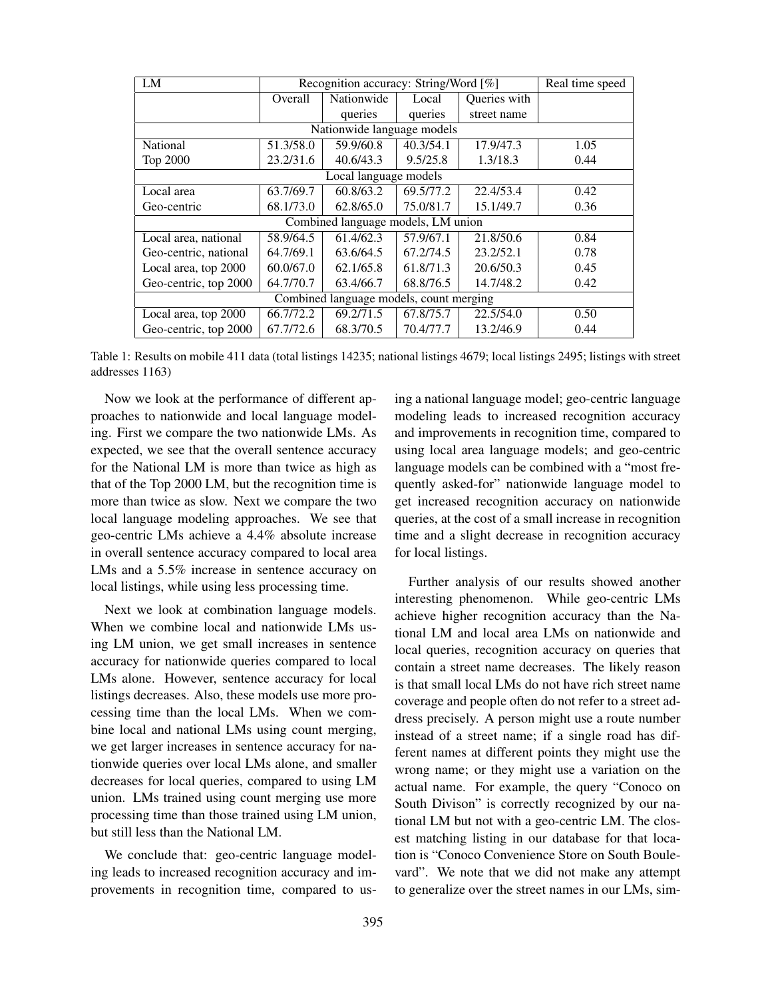| LM                                      | Recognition accuracy: String/Word [%] |            |           |              | Real time speed |
|-----------------------------------------|---------------------------------------|------------|-----------|--------------|-----------------|
|                                         | Overall                               | Nationwide | Local     | Queries with |                 |
|                                         |                                       | queries    | queries   | street name  |                 |
| Nationwide language models              |                                       |            |           |              |                 |
| <b>National</b>                         | 51.3/58.0                             | 59.9/60.8  | 40.3/54.1 | 17.9/47.3    | 1.05            |
| Top 2000                                | 23.2/31.6                             | 40.6/43.3  | 9.5/25.8  | 1.3/18.3     | 0.44            |
| Local language models                   |                                       |            |           |              |                 |
| Local area                              | 63.7/69.7                             | 60.8/63.2  | 69.5/77.2 | 22.4/53.4    | 0.42            |
| Geo-centric                             | 68.1/73.0                             | 62.8/65.0  | 75.0/81.7 | 15.1/49.7    | 0.36            |
| Combined language models, LM union      |                                       |            |           |              |                 |
| Local area, national                    | 58.9/64.5                             | 61.4/62.3  | 57.9/67.1 | 21.8/50.6    | 0.84            |
| Geo-centric, national                   | 64.7/69.1                             | 63.6/64.5  | 67.2/74.5 | 23.2/52.1    | 0.78            |
| Local area, top 2000                    | 60.0/67.0                             | 62.1/65.8  | 61.8/71.3 | 20.6/50.3    | 0.45            |
| Geo-centric, top 2000                   | 64.7/70.7                             | 63.4/66.7  | 68.8/76.5 | 14.7/48.2    | 0.42            |
| Combined language models, count merging |                                       |            |           |              |                 |
| Local area, top 2000                    | 66.7/72.2                             | 69.2/71.5  | 67.8/75.7 | 22.5/54.0    | 0.50            |
| Geo-centric, top 2000                   | 67.7/72.6                             | 68.3/70.5  | 70.4/77.7 | 13.2/46.9    | 0.44            |

Table 1: Results on mobile 411 data (total listings 14235; national listings 4679; local listings 2495; listings with street addresses 1163)

Now we look at the performance of different approaches to nationwide and local language modeling. First we compare the two nationwide LMs. As expected, we see that the overall sentence accuracy for the National LM is more than twice as high as that of the Top 2000 LM, but the recognition time is more than twice as slow. Next we compare the two local language modeling approaches. We see that geo-centric LMs achieve a 4.4% absolute increase in overall sentence accuracy compared to local area LMs and a 5.5% increase in sentence accuracy on local listings, while using less processing time.

Next we look at combination language models. When we combine local and nationwide LMs using LM union, we get small increases in sentence accuracy for nationwide queries compared to local LMs alone. However, sentence accuracy for local listings decreases. Also, these models use more processing time than the local LMs. When we combine local and national LMs using count merging, we get larger increases in sentence accuracy for nationwide queries over local LMs alone, and smaller decreases for local queries, compared to using LM union. LMs trained using count merging use more processing time than those trained using LM union, but still less than the National LM.

We conclude that: geo-centric language modeling leads to increased recognition accuracy and improvements in recognition time, compared to using a national language model; geo-centric language modeling leads to increased recognition accuracy and improvements in recognition time, compared to using local area language models; and geo-centric language models can be combined with a "most frequently asked-for" nationwide language model to get increased recognition accuracy on nationwide queries, at the cost of a small increase in recognition time and a slight decrease in recognition accuracy for local listings.

Further analysis of our results showed another interesting phenomenon. While geo-centric LMs achieve higher recognition accuracy than the National LM and local area LMs on nationwide and local queries, recognition accuracy on queries that contain a street name decreases. The likely reason is that small local LMs do not have rich street name coverage and people often do not refer to a street address precisely. A person might use a route number instead of a street name; if a single road has different names at different points they might use the wrong name; or they might use a variation on the actual name. For example, the query "Conoco on South Divison" is correctly recognized by our national LM but not with a geo-centric LM. The closest matching listing in our database for that location is "Conoco Convenience Store on South Boulevard". We note that we did not make any attempt to generalize over the street names in our LMs, sim